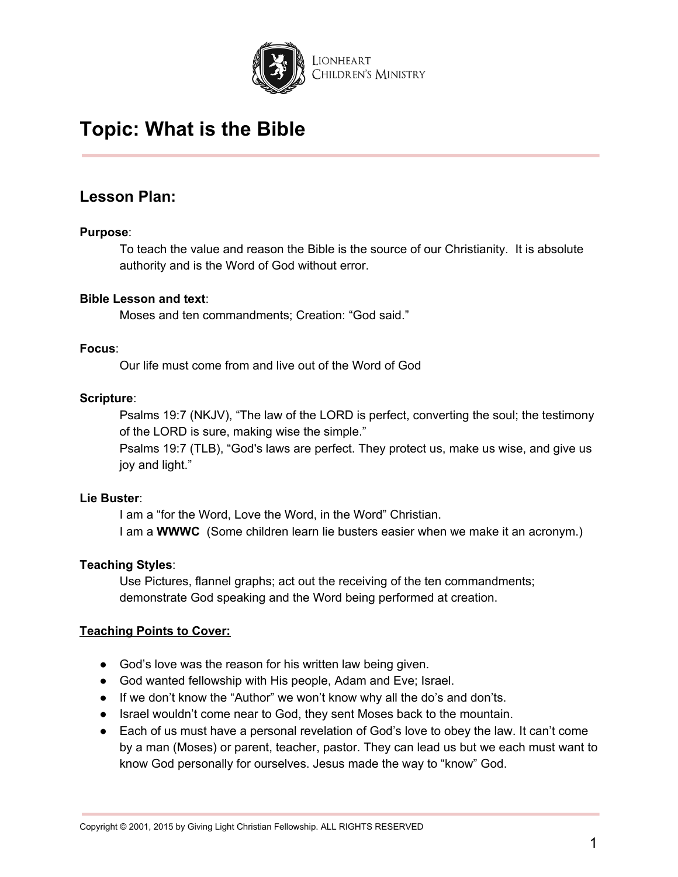

## **Lesson Plan:**

### **Purpose**:

To teach the value and reason the Bible is the source of our Christianity. It is absolute authority and is the Word of God without error.

### **Bible Lesson and text**:

Moses and ten commandments; Creation: "God said."

### **Focus**:

Our life must come from and live out of the Word of God

### **Scripture**:

Psalms 19:7 (NKJV), "The law of the LORD is perfect, converting the soul; the testimony of the LORD is sure, making wise the simple."

Psalms 19:7 (TLB), "God's laws are perfect. They protect us, make us wise, and give us joy and light."

### **Lie Buster**:

I am a "for the Word, Love the Word, in the Word" Christian. I am a **WWWC** (Some children learn lie busters easier when we make it an acronym.)

## **Teaching Styles**:

Use Pictures, flannel graphs; act out the receiving of the ten commandments; demonstrate God speaking and the Word being performed at creation.

### **Teaching Points to Cover:**

- God's love was the reason for his written law being given.
- God wanted fellowship with His people, Adam and Eve; Israel.
- If we don't know the "Author" we won't know why all the do's and don'ts.
- Israel wouldn't come near to God, they sent Moses back to the mountain.
- Each of us must have a personal revelation of God's love to obey the law. It can't come by a man (Moses) or parent, teacher, pastor. They can lead us but we each must want to know God personally for ourselves. Jesus made the way to "know" God.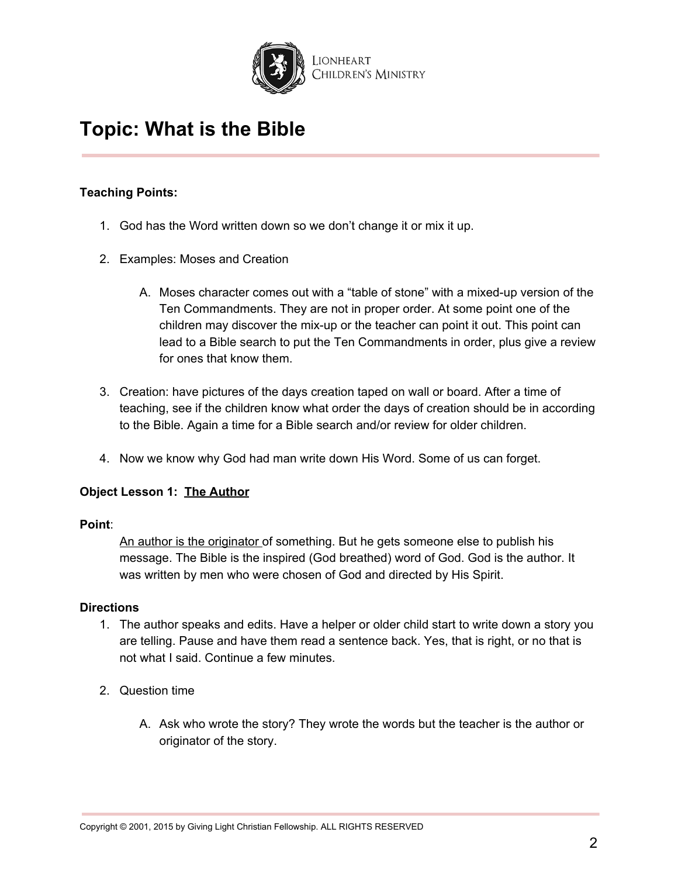

## **Teaching Points:**

- 1. God has the Word written down so we don't change it or mix it up.
- 2. Examples: Moses and Creation
	- A. Moses character comes out with a "table of stone" with a mixed-up version of the Ten Commandments. They are not in proper order. At some point one of the children may discover the mix-up or the teacher can point it out. This point can lead to a Bible search to put the Ten Commandments in order, plus give a review for ones that know them.
- 3. Creation: have pictures of the days creation taped on wall or board. After a time of teaching, see if the children know what order the days of creation should be in according to the Bible. Again a time for a Bible search and/or review for older children.
- 4. Now we know why God had man write down His Word. Some of us can forget.

## **Object Lesson 1: The Author**

## **Point**:

An author is the originator of something. But he gets someone else to publish his message. The Bible is the inspired (God breathed) word of God. God is the author. It was written by men who were chosen of God and directed by His Spirit.

### **Directions**

- 1. The author speaks and edits. Have a helper or older child start to write down a story you are telling. Pause and have them read a sentence back. Yes, that is right, or no that is not what I said. Continue a few minutes.
- 2. Question time
	- A. Ask who wrote the story? They wrote the words but the teacher is the author or originator of the story.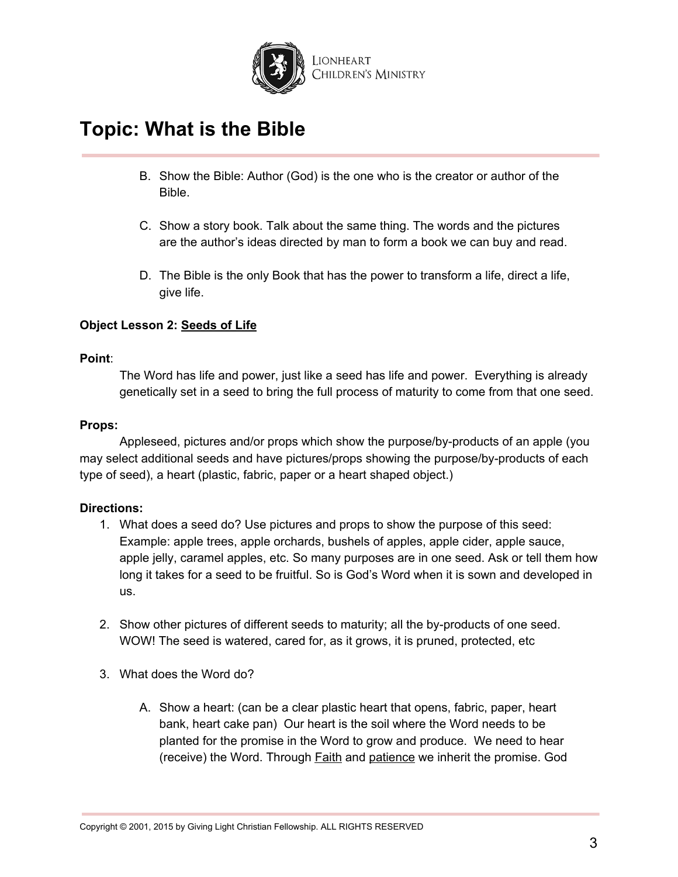

- B. Show the Bible: Author (God) is the one who is the creator or author of the Bible.
- C. Show a story book. Talk about the same thing. The words and the pictures are the author's ideas directed by man to form a book we can buy and read.
- D. The Bible is the only Book that has the power to transform a life, direct a life, give life.

## **Object Lesson 2: Seeds of Life**

#### **Point**:

The Word has life and power, just like a seed has life and power. Everything is already genetically set in a seed to bring the full process of maturity to come from that one seed.

#### **Props:**

Appleseed, pictures and/or props which show the purpose/by-products of an apple (you may select additional seeds and have pictures/props showing the purpose/by-products of each type of seed), a heart (plastic, fabric, paper or a heart shaped object.)

### **Directions:**

- 1. What does a seed do? Use pictures and props to show the purpose of this seed: Example: apple trees, apple orchards, bushels of apples, apple cider, apple sauce, apple jelly, caramel apples, etc. So many purposes are in one seed. Ask or tell them how long it takes for a seed to be fruitful. So is God's Word when it is sown and developed in us.
- 2. Show other pictures of different seeds to maturity; all the by-products of one seed. WOW! The seed is watered, cared for, as it grows, it is pruned, protected, etc
- 3. What does the Word do?
	- A. Show a heart: (can be a clear plastic heart that opens, fabric, paper, heart bank, heart cake pan) Our heart is the soil where the Word needs to be planted for the promise in the Word to grow and produce. We need to hear (receive) the Word. Through Faith and patience we inherit the promise. God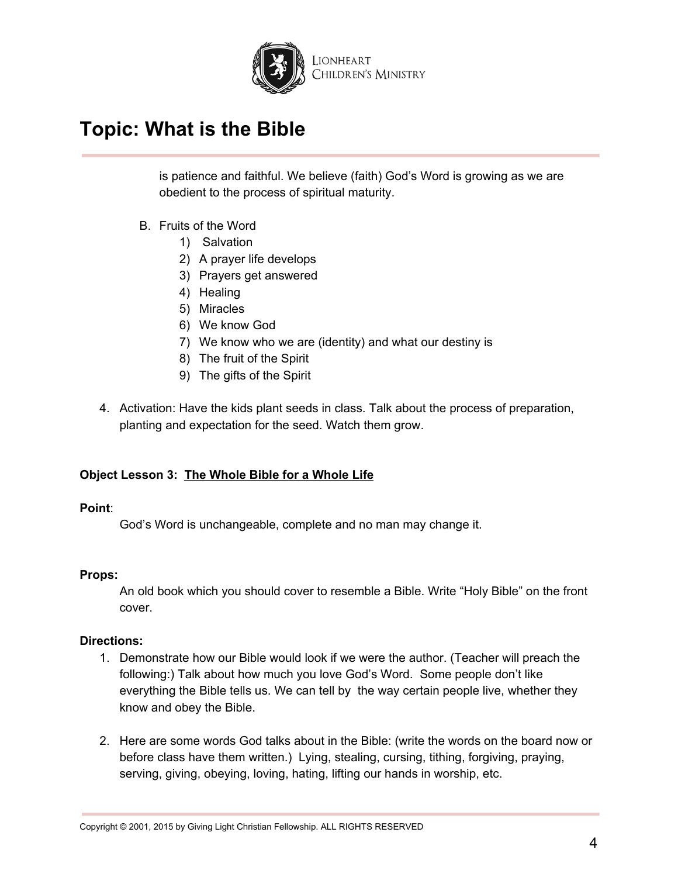

is patience and faithful. We believe (faith) God's Word is growing as we are obedient to the process of spiritual maturity.

- B. Fruits of the Word
	- 1) Salvation
	- 2) A prayer life develops
	- 3) Prayers get answered
	- 4) Healing
	- 5) Miracles
	- 6) We know God
	- 7) We know who we are (identity) and what our destiny is
	- 8) The fruit of the Spirit
	- 9) The gifts of the Spirit
- 4. Activation: Have the kids plant seeds in class. Talk about the process of preparation, planting and expectation for the seed. Watch them grow.

### **Object Lesson 3: The Whole Bible for a Whole Life**

### **Point**:

God's Word is unchangeable, complete and no man may change it.

### **Props:**

An old book which you should cover to resemble a Bible. Write "Holy Bible" on the front cover.

### **Directions:**

- 1. Demonstrate how our Bible would look if we were the author. (Teacher will preach the following:) Talk about how much you love God's Word. Some people don't like everything the Bible tells us. We can tell by the way certain people live, whether they know and obey the Bible.
- 2. Here are some words God talks about in the Bible: (write the words on the board now or before class have them written.) Lying, stealing, cursing, tithing, forgiving, praying, serving, giving, obeying, loving, hating, lifting our hands in worship, etc.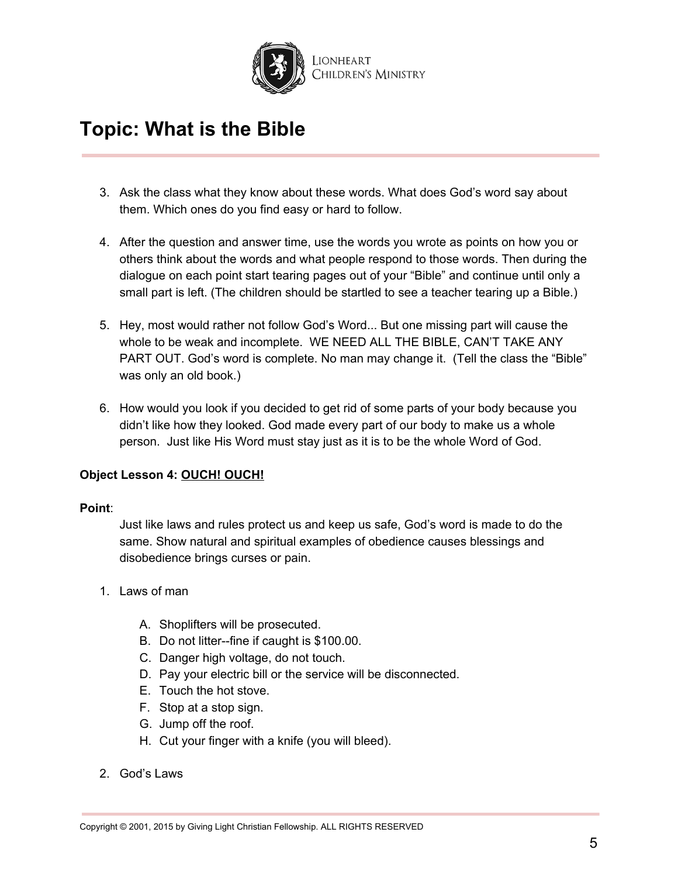

- 3. Ask the class what they know about these words. What does God's word say about them. Which ones do you find easy or hard to follow.
- 4. After the question and answer time, use the words you wrote as points on how you or others think about the words and what people respond to those words. Then during the dialogue on each point start tearing pages out of your "Bible" and continue until only a small part is left. (The children should be startled to see a teacher tearing up a Bible.)
- 5. Hey, most would rather not follow God's Word... But one missing part will cause the whole to be weak and incomplete. WE NEED ALL THE BIBLE, CAN'T TAKE ANY PART OUT. God's word is complete. No man may change it. (Tell the class the "Bible" was only an old book.)
- 6. How would you look if you decided to get rid of some parts of your body because you didn't like how they looked. God made every part of our body to make us a whole person. Just like His Word must stay just as it is to be the whole Word of God.

## **Object Lesson 4: OUCH! OUCH!**

### **Point**:

Just like laws and rules protect us and keep us safe, God's word is made to do the same. Show natural and spiritual examples of obedience causes blessings and disobedience brings curses or pain.

- 1. Laws of man
	- A. Shoplifters will be prosecuted.
	- B. Do not litter--fine if caught is \$100.00.
	- C. Danger high voltage, do not touch.
	- D. Pay your electric bill or the service will be disconnected.
	- E. Touch the hot stove.
	- F. Stop at a stop sign.
	- G. Jump off the roof.
	- H. Cut your finger with a knife (you will bleed).
- 2. God's Laws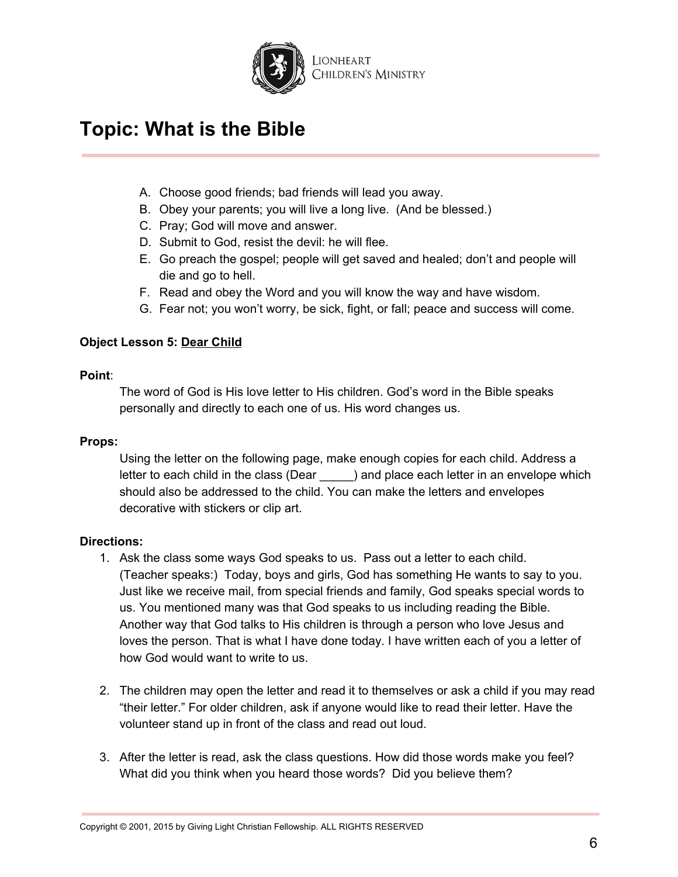

- A. Choose good friends; bad friends will lead you away.
- B. Obey your parents; you will live a long live. (And be blessed.)
- C. Pray; God will move and answer.
- D. Submit to God, resist the devil: he will flee.
- E. Go preach the gospel; people will get saved and healed; don't and people will die and go to hell.
- F. Read and obey the Word and you will know the way and have wisdom.
- G. Fear not; you won't worry, be sick, fight, or fall; peace and success will come.

### **Object Lesson 5: Dear Child**

#### **Point**:

The word of God is His love letter to His children. God's word in the Bible speaks personally and directly to each one of us. His word changes us.

### **Props:**

Using the letter on the following page, make enough copies for each child. Address a letter to each child in the class (Dear \_\_\_\_\_) and place each letter in an envelope which should also be addressed to the child. You can make the letters and envelopes decorative with stickers or clip art.

### **Directions:**

- 1. Ask the class some ways God speaks to us. Pass out a letter to each child. (Teacher speaks:) Today, boys and girls, God has something He wants to say to you. Just like we receive mail, from special friends and family, God speaks special words to us. You mentioned many was that God speaks to us including reading the Bible. Another way that God talks to His children is through a person who love Jesus and loves the person. That is what I have done today. I have written each of you a letter of how God would want to write to us.
- 2. The children may open the letter and read it to themselves or ask a child if you may read "their letter." For older children, ask if anyone would like to read their letter. Have the volunteer stand up in front of the class and read out loud.
- 3. After the letter is read, ask the class questions. How did those words make you feel? What did you think when you heard those words? Did you believe them?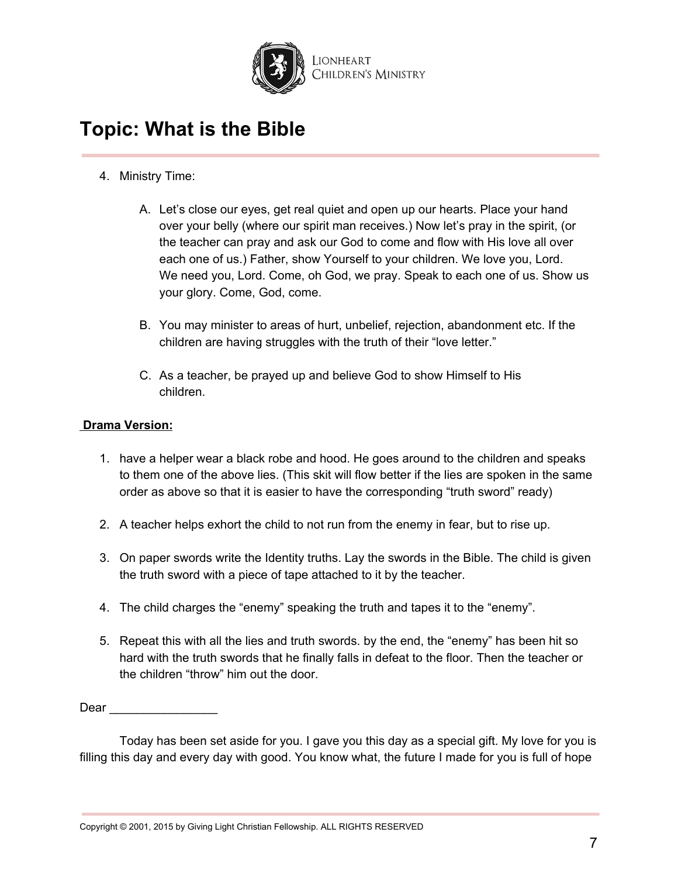

- 4. Ministry Time:
	- A. Let's close our eyes, get real quiet and open up our hearts. Place your hand over your belly (where our spirit man receives.) Now let's pray in the spirit, (or the teacher can pray and ask our God to come and flow with His love all over each one of us.) Father, show Yourself to your children. We love you, Lord. We need you, Lord. Come, oh God, we pray. Speak to each one of us. Show us your glory. Come, God, come.
	- B. You may minister to areas of hurt, unbelief, rejection, abandonment etc. If the children are having struggles with the truth of their "love letter."
	- C. As a teacher, be prayed up and believe God to show Himself to His children.

## **Drama Version:**

- 1. have a helper wear a black robe and hood. He goes around to the children and speaks to them one of the above lies. (This skit will flow better if the lies are spoken in the same order as above so that it is easier to have the corresponding "truth sword" ready)
- 2. A teacher helps exhort the child to not run from the enemy in fear, but to rise up.
- 3. On paper swords write the Identity truths. Lay the swords in the Bible. The child is given the truth sword with a piece of tape attached to it by the teacher.
- 4. The child charges the "enemy" speaking the truth and tapes it to the "enemy".
- 5. Repeat this with all the lies and truth swords. by the end, the "enemy" has been hit so hard with the truth swords that he finally falls in defeat to the floor. Then the teacher or the children "throw" him out the door.

Dear \_\_\_\_\_\_\_\_\_\_\_\_\_\_\_\_

Today has been set aside for you. I gave you this day as a special gift. My love for you is filling this day and every day with good. You know what, the future I made for you is full of hope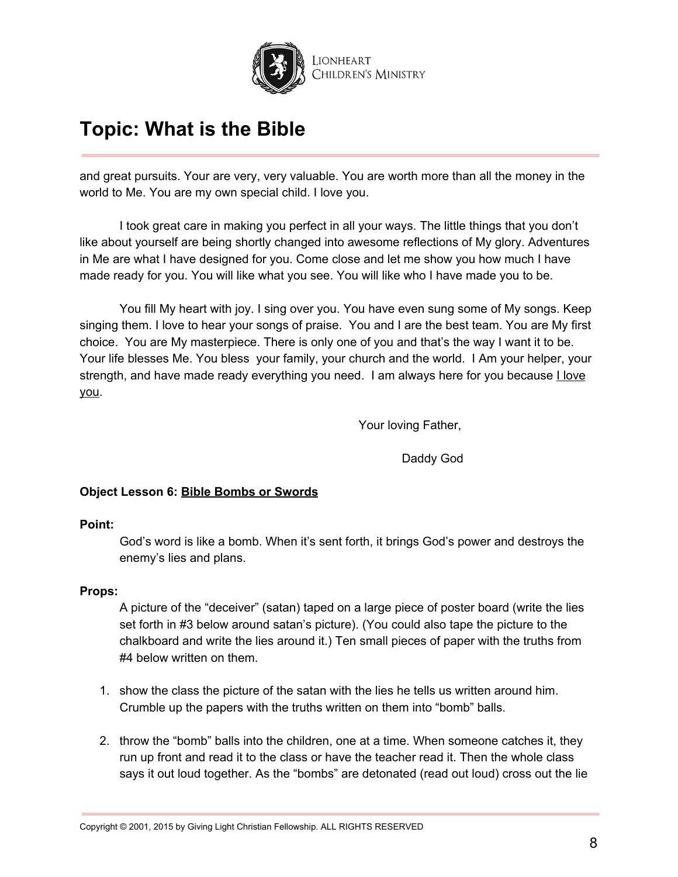

and great pursuits. Your are very, very valuable. You are worth more than all the money in the world to Me. You are my own special child. I love you.

I took great care in making you perfect in all your ways. The little things that you don't like about yourself are being shortly changed into awesome reflections of My glory. Adventures in Me are what I have designed for you. Come close and let me show you how much I have made ready for you. You will like what you see. You will like who I have made you to be.

You fill My heart with joy. I sing over you. You have even sung some of My songs. Keep singing them. I love to hear your songs of praise. You and I are the best team. You are My first choice. You are My masterpiece. There is only one of you and that's the way I want it to be. Your life blesses Me. You bless your family, your church and the world. I Am your helper, your strength, and have made ready everything you need. I am always here for you because **I love** you.

Your loving Father,

Daddy God

## **Object Lesson 6: Bible Bombs or Swords**

### **Point:**

God's word is like a bomb. When it's sent forth, it brings God's power and destroys the enemy's lies and plans.

## **Props:**

A picture of the "deceiver" (satan) taped on a large piece of poster board (write the lies set forth in #3 below around satan's picture). (You could also tape the picture to the chalkboard and write the lies around it.) Ten small pieces of paper with the truths from #4 below written on them.

- 1. show the class the picture of the satan with the lies he tells us written around him. Crumble up the papers with the truths written on them into "bomb" balls.
- 2. throw the "bomb" balls into the children, one at a time. When someone catches it, they run up front and read it to the class or have the teacher read it. Then the whole class says it out loud together. As the "bombs" are detonated (read out loud) cross out the lie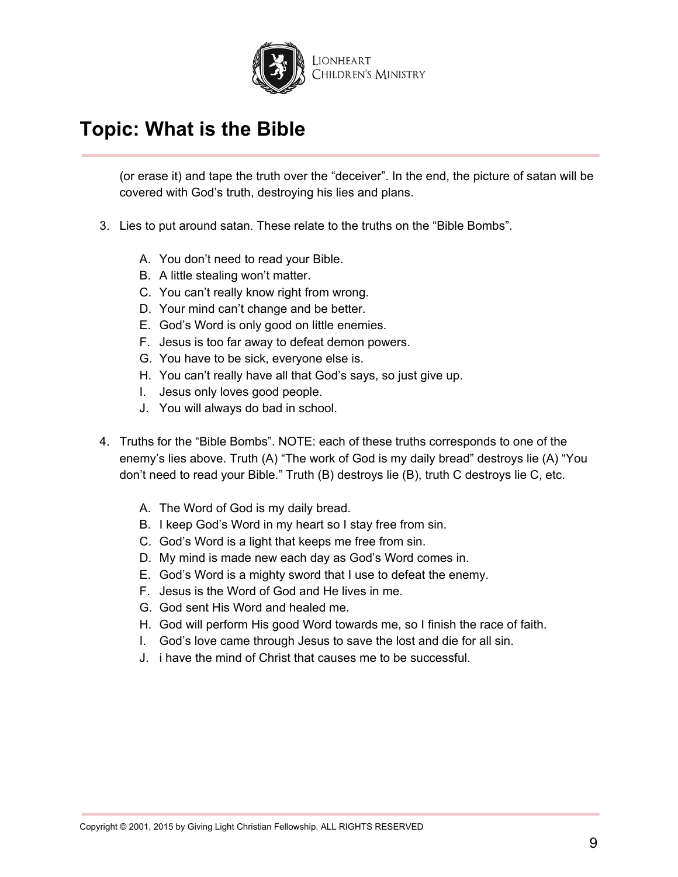

(or erase it) and tape the truth over the "deceiver". In the end, the picture of satan will be covered with God's truth, destroying his lies and plans.

- 3. Lies to put around satan. These relate to the truths on the "Bible Bombs".
	- A. You don't need to read your Bible.
	- B. A little stealing won't matter.
	- C. You can't really know right from wrong.
	- D. Your mind can't change and be better.
	- E. God's Word is only good on little enemies.
	- F. Jesus is too far away to defeat demon powers.
	- G. You have to be sick, everyone else is.
	- H. You can't really have all that God's says, so just give up.
	- I. Jesus only loves good people.
	- J. You will always do bad in school.
- 4. Truths for the "Bible Bombs". NOTE: each of these truths corresponds to one of the enemy's lies above. Truth (A) "The work of God is my daily bread" destroys lie (A) "You don't need to read your Bible." Truth (B) destroys lie (B), truth C destroys lie C, etc.
	- A. The Word of God is my daily bread.
	- B. I keep God's Word in my heart so I stay free from sin.
	- C. God's Word is a light that keeps me free from sin.
	- D. My mind is made new each day as God's Word comes in.
	- E. God's Word is a mighty sword that I use to defeat the enemy.
	- F. Jesus is the Word of God and He lives in me.
	- G. God sent His Word and healed me.
	- H. God will perform His good Word towards me, so I finish the race of faith.
	- I. God's love came through Jesus to save the lost and die for all sin.
	- J. i have the mind of Christ that causes me to be successful.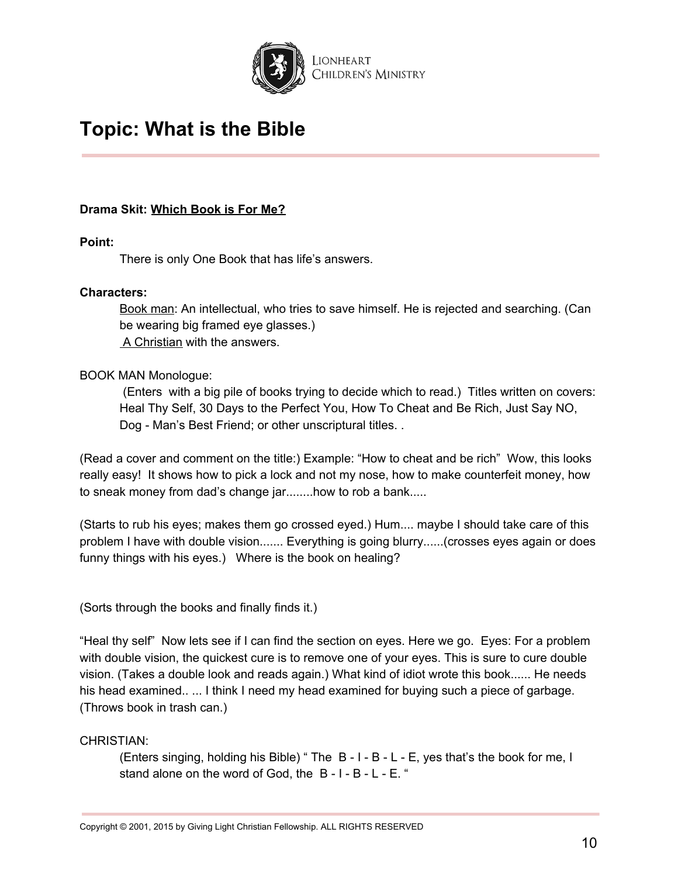

## **Drama Skit: Which Book is For Me?**

### **Point:**

There is only One Book that has life's answers.

### **Characters:**

Book man: An intellectual, who tries to save himself. He is rejected and searching. (Can be wearing big framed eye glasses.) A Christian with the answers.

## BOOK MAN Monologue:

(Enters with a big pile of books trying to decide which to read.) Titles written on covers: Heal Thy Self, 30 Days to the Perfect You, How To Cheat and Be Rich, Just Say NO, Dog - Man's Best Friend; or other unscriptural titles...

(Read a cover and comment on the title:) Example: "How to cheat and be rich" Wow, this looks really easy! It shows how to pick a lock and not my nose, how to make counterfeit money, how to sneak money from dad's change jar........how to rob a bank.....

(Starts to rub his eyes; makes them go crossed eyed.) Hum.... maybe I should take care of this problem I have with double vision....... Everything is going blurry......(crosses eyes again or does funny things with his eyes.) Where is the book on healing?

(Sorts through the books and finally finds it.)

"Heal thy self" Now lets see if I can find the section on eyes. Here we go. Eyes: For a problem with double vision, the quickest cure is to remove one of your eyes. This is sure to cure double vision. (Takes a double look and reads again.) What kind of idiot wrote this book...... He needs his head examined.. ... I think I need my head examined for buying such a piece of garbage. (Throws book in trash can.)

## CHRISTIAN:

(Enters singing, holding his Bible) " The B - I - B - L - E, yes that's the book for me, I stand alone on the word of God, the B - I - B - L - E. "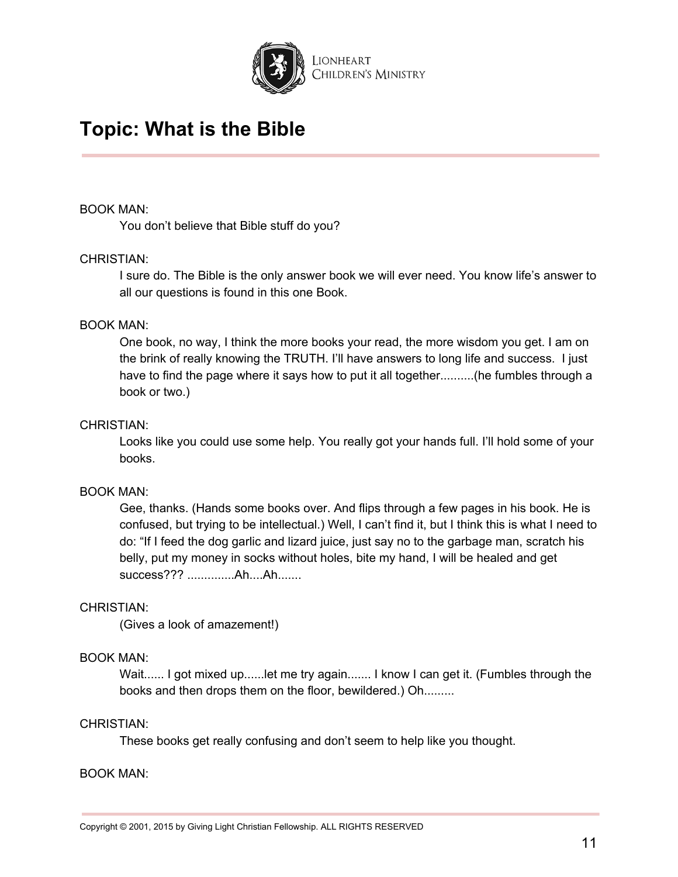

#### BOOK MAN:

You don't believe that Bible stuff do you?

### CHRISTIAN:

I sure do. The Bible is the only answer book we will ever need. You know life's answer to all our questions is found in this one Book.

### BOOK MAN:

One book, no way, I think the more books your read, the more wisdom you get. I am on the brink of really knowing the TRUTH. I'll have answers to long life and success. I just have to find the page where it says how to put it all together..........(he fumbles through a book or two.)

#### CHRISTIAN:

Looks like you could use some help. You really got your hands full. I'll hold some of your books.

### BOOK MAN:

Gee, thanks. (Hands some books over. And flips through a few pages in his book. He is confused, but trying to be intellectual.) Well, I can't find it, but I think this is what I need to do: "If I feed the dog garlic and lizard juice, just say no to the garbage man, scratch his belly, put my money in socks without holes, bite my hand, I will be healed and get success??? ..............Ah....Ah.......

#### CHRISTIAN:

(Gives a look of amazement!)

### BOOK MAN:

Wait...... I got mixed up......let me try again....... I know I can get it. (Fumbles through the books and then drops them on the floor, bewildered.) Oh.........

#### CHRISTIAN:

These books get really confusing and don't seem to help like you thought.

#### BOOK MAN: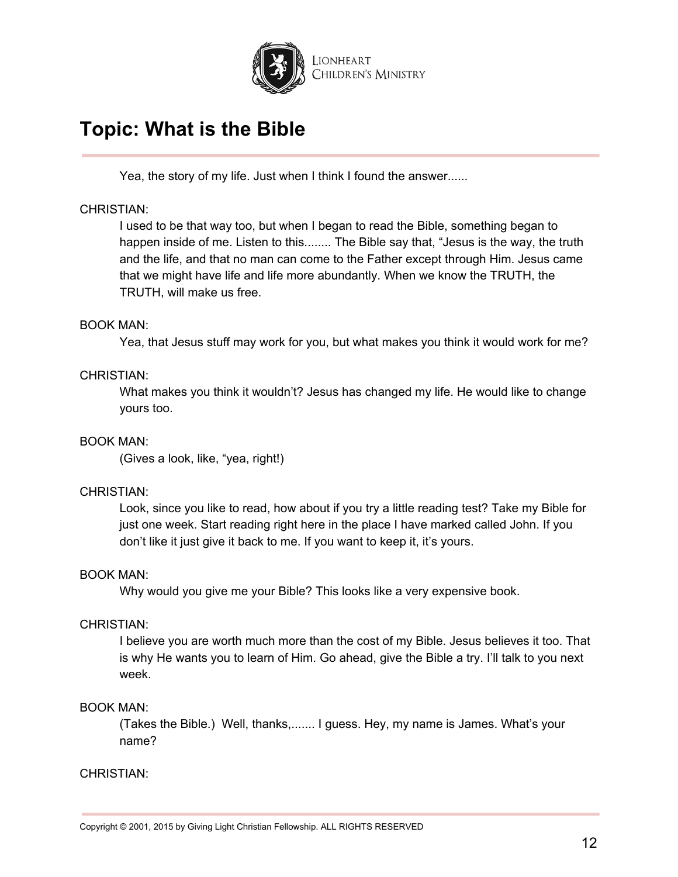

Yea, the story of my life. Just when I think I found the answer......

### CHRISTIAN:

I used to be that way too, but when I began to read the Bible, something began to happen inside of me. Listen to this........ The Bible say that, "Jesus is the way, the truth and the life, and that no man can come to the Father except through Him. Jesus came that we might have life and life more abundantly. When we know the TRUTH, the TRUTH, will make us free.

### BOOK MAN:

Yea, that Jesus stuff may work for you, but what makes you think it would work for me?

### CHRISTIAN:

What makes you think it wouldn't? Jesus has changed my life. He would like to change yours too.

### BOOK MAN:

(Gives a look, like, "yea, right!)

### CHRISTIAN:

Look, since you like to read, how about if you try a little reading test? Take my Bible for just one week. Start reading right here in the place I have marked called John. If you don't like it just give it back to me. If you want to keep it, it's yours.

### BOOK MAN:

Why would you give me your Bible? This looks like a very expensive book.

### CHRISTIAN:

I believe you are worth much more than the cost of my Bible. Jesus believes it too. That is why He wants you to learn of Him. Go ahead, give the Bible a try. I'll talk to you next week.

## BOOK MAN:

(Takes the Bible.) Well, thanks,....... I guess. Hey, my name is James. What's your name?

### CHRISTIAN: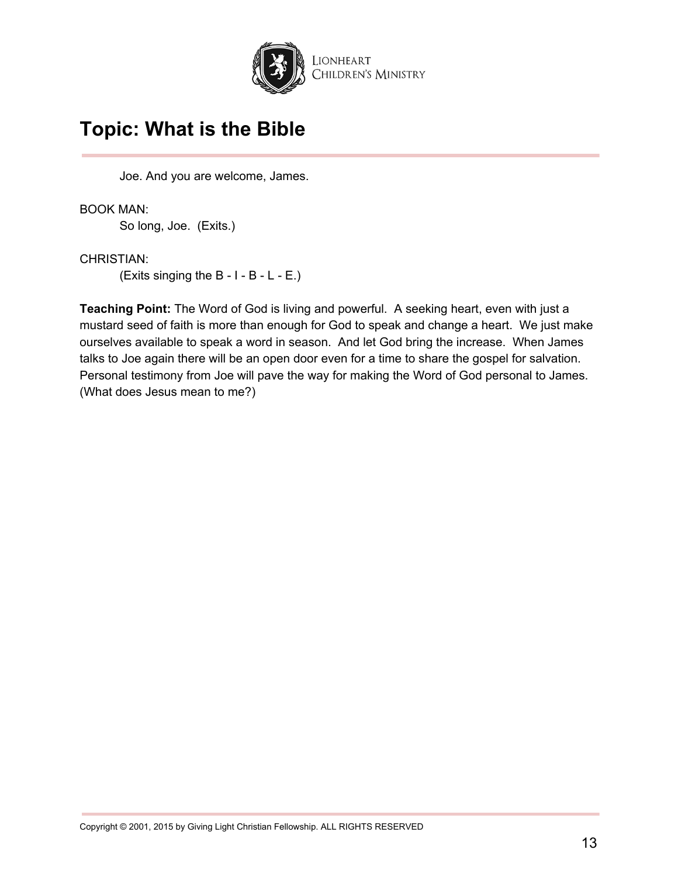

Joe. And you are welcome, James.

BOOK MAN: So long, Joe. (Exits.)

CHRISTIAN: (Exits singing the B - I - B - L - E.)

**Teaching Point:** The Word of God is living and powerful. A seeking heart, even with just a mustard seed of faith is more than enough for God to speak and change a heart. We just make ourselves available to speak a word in season. And let God bring the increase. When James talks to Joe again there will be an open door even for a time to share the gospel for salvation. Personal testimony from Joe will pave the way for making the Word of God personal to James. (What does Jesus mean to me?)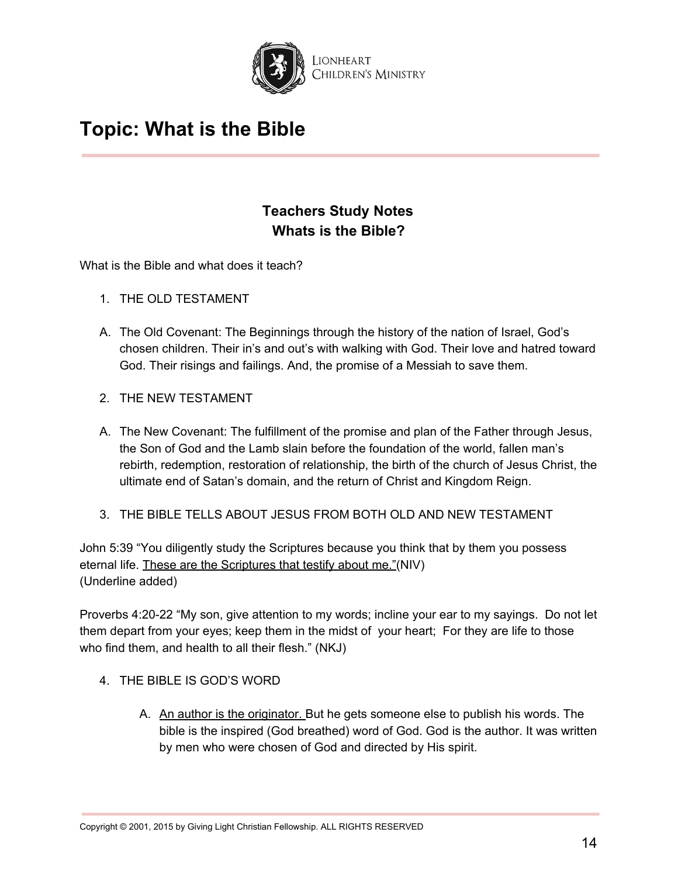

## **Teachers Study Notes Whats is the Bible?**

What is the Bible and what does it teach?

- 1. THE OLD TESTAMENT
- A. The Old Covenant: The Beginnings through the history of the nation of Israel, God's chosen children. Their in's and out's with walking with God. Their love and hatred toward God. Their risings and failings. And, the promise of a Messiah to save them.
- 2. THE NEW TESTAMENT
- A. The New Covenant: The fulfillment of the promise and plan of the Father through Jesus, the Son of God and the Lamb slain before the foundation of the world, fallen man's rebirth, redemption, restoration of relationship, the birth of the church of Jesus Christ, the ultimate end of Satan's domain, and the return of Christ and Kingdom Reign.
- 3. THE BIBLE TELLS ABOUT JESUS FROM BOTH OLD AND NEW TESTAMENT

John 5:39 "You diligently study the Scriptures because you think that by them you possess eternal life. These are the Scriptures that testify about me."(NIV) (Underline added)

Proverbs 4:20-22 "My son, give attention to my words; incline your ear to my sayings. Do not let them depart from your eyes; keep them in the midst of your heart; For they are life to those who find them, and health to all their flesh." (NKJ)

- 4. THE BIBLE IS GOD'S WORD
	- A. An author is the originator. But he gets someone else to publish his words. The bible is the inspired (God breathed) word of God. God is the author. It was written by men who were chosen of God and directed by His spirit.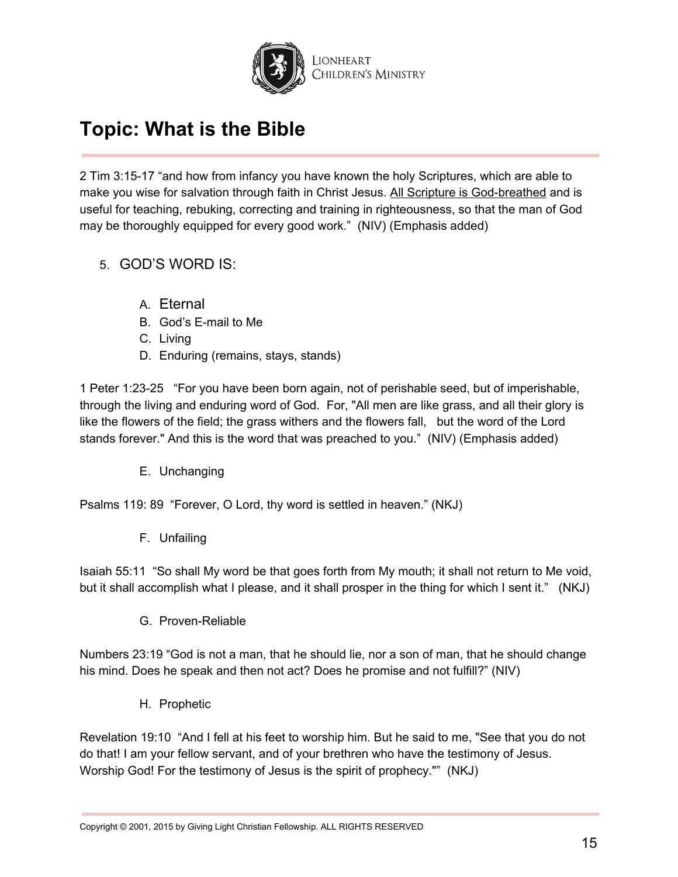

2 Tim 3:15-17 "and how from infancy you have known the holy Scriptures, which are able to make you wise for salvation through faith in Christ Jesus. All Scripture is God-breathed and is useful for teaching, rebuking, correcting and training in righteousness, so that the man of God may be thoroughly equipped for every good work." (NIV) (Emphasis added)

- 5. GOD'S WORD IS:
	- A. Eternal
	- B. God's E-mail to Me
	- C. Living
	- D. Enduring (remains, stays, stands)

1 Peter 1:23-25 "For you have been born again, not of perishable seed, but of imperishable, through the living and enduring word of God. For, "All men are like grass, and all their glory is like the flowers of the field; the grass withers and the flowers fall, but the word of the Lord stands forever." And this is the word that was preached to you." (NIV) (Emphasis added)

E. Unchanging

Psalms 119: 89 "Forever, O Lord, thy word is settled in heaven." (NKJ)

F. Unfailing

Isaiah 55:11 "So shall My word be that goes forth from My mouth; it shall not return to Me void, but it shall accomplish what I please, and it shall prosper in the thing for which I sent it." (NKJ)

G. Proven-Reliable

Numbers 23:19 "God is not a man, that he should lie, nor a son of man, that he should change his mind. Does he speak and then not act? Does he promise and not fulfill?" (NIV)

H. Prophetic

Revelation 19:10 "And I fell at his feet to worship him. But he said to me, "See that you do not do that! I am your fellow servant, and of your brethren who have the testimony of Jesus. Worship God! For the testimony of Jesus is the spirit of prophecy."" (NKJ)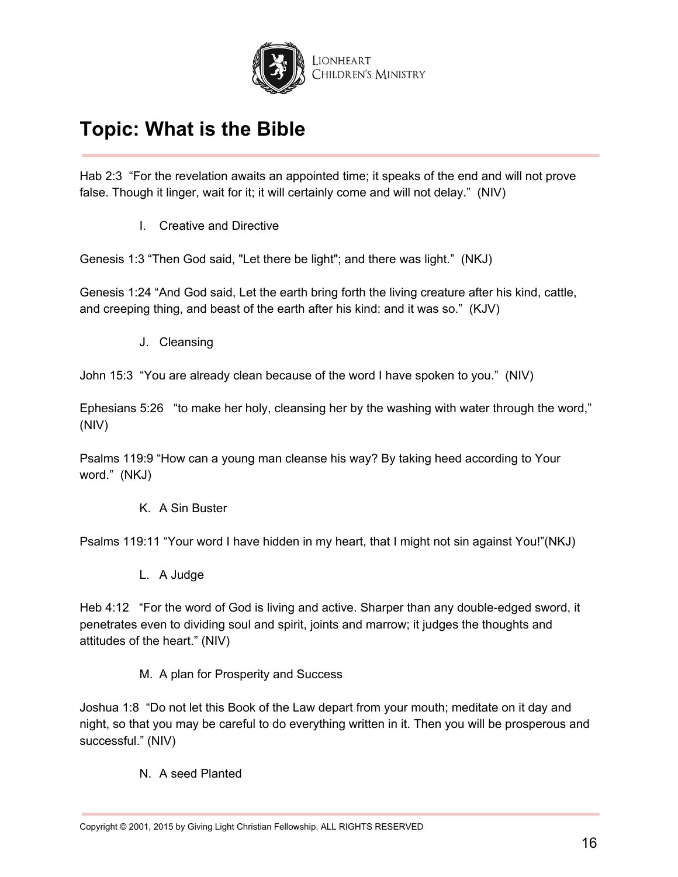

Hab 2:3 "For the revelation awaits an appointed time; it speaks of the end and will not prove false. Though it linger, wait for it; it will certainly come and will not delay." (NIV)

I. Creative and Directive

Genesis 1:3 "Then God said, "Let there be light"; and there was light." (NKJ)

Genesis 1:24 "And God said, Let the earth bring forth the living creature after his kind, cattle, and creeping thing, and beast of the earth after his kind: and it was so." (KJV)

J. Cleansing

John 15:3 "You are already clean because of the word I have spoken to you." (NIV)

Ephesians 5:26 "to make her holy, cleansing her by the washing with water through the word," (NIV)

Psalms 119:9 "How can a young man cleanse his way? By taking heed according to Your word." (NKJ)

K. A Sin Buster

Psalms 119:11 "Your word I have hidden in my heart, that I might not sin against You!"(NKJ)

L. A Judge

Heb 4:12 "For the word of God is living and active. Sharper than any double-edged sword, it penetrates even to dividing soul and spirit, joints and marrow; it judges the thoughts and attitudes of the heart." (NIV)

M. A plan for Prosperity and Success

Joshua 1:8 "Do not let this Book of the Law depart from your mouth; meditate on it day and night, so that you may be careful to do everything written in it. Then you will be prosperous and successful." (NIV)

N. A seed Planted

Copyright © 2001, 2015 by Giving Light Christian Fellowship. ALL RIGHTS RESERVED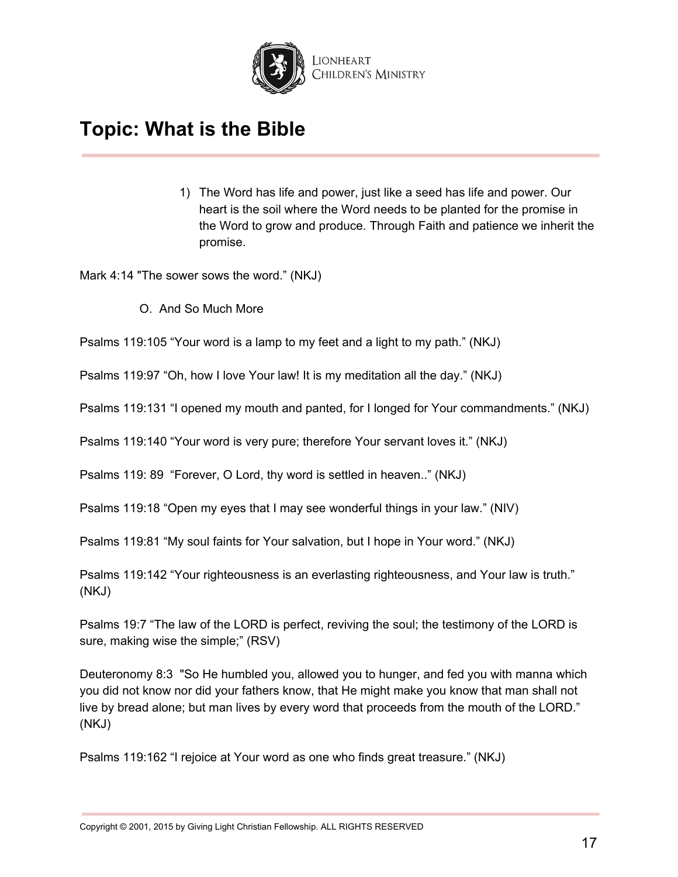

1) The Word has life and power, just like a seed has life and power. Our heart is the soil where the Word needs to be planted for the promise in the Word to grow and produce. Through Faith and patience we inherit the promise.

Mark 4:14 "The sower sows the word." (NKJ)

O. And So Much More

Psalms 119:105 "Your word is a lamp to my feet and a light to my path." (NKJ)

Psalms 119:97 "Oh, how I love Your law! It is my meditation all the day." (NKJ)

Psalms 119:131 "I opened my mouth and panted, for I longed for Your commandments." (NKJ)

Psalms 119:140 "Your word is very pure; therefore Your servant loves it." (NKJ)

Psalms 119: 89 "Forever, O Lord, thy word is settled in heaven.." (NKJ)

Psalms 119:18 "Open my eyes that I may see wonderful things in your law." (NIV)

Psalms 119:81 "My soul faints for Your salvation, but I hope in Your word." (NKJ)

Psalms 119:142 "Your righteousness is an everlasting righteousness, and Your law is truth." (NKJ)

Psalms 19:7 "The law of the LORD is perfect, reviving the soul; the testimony of the LORD is sure, making wise the simple;" (RSV)

Deuteronomy 8:3 "So He humbled you, allowed you to hunger, and fed you with manna which you did not know nor did your fathers know, that He might make you know that man shall not live by bread alone; but man lives by every word that proceeds from the mouth of the LORD." (NKJ)

Psalms 119:162 "I rejoice at Your word as one who finds great treasure." (NKJ)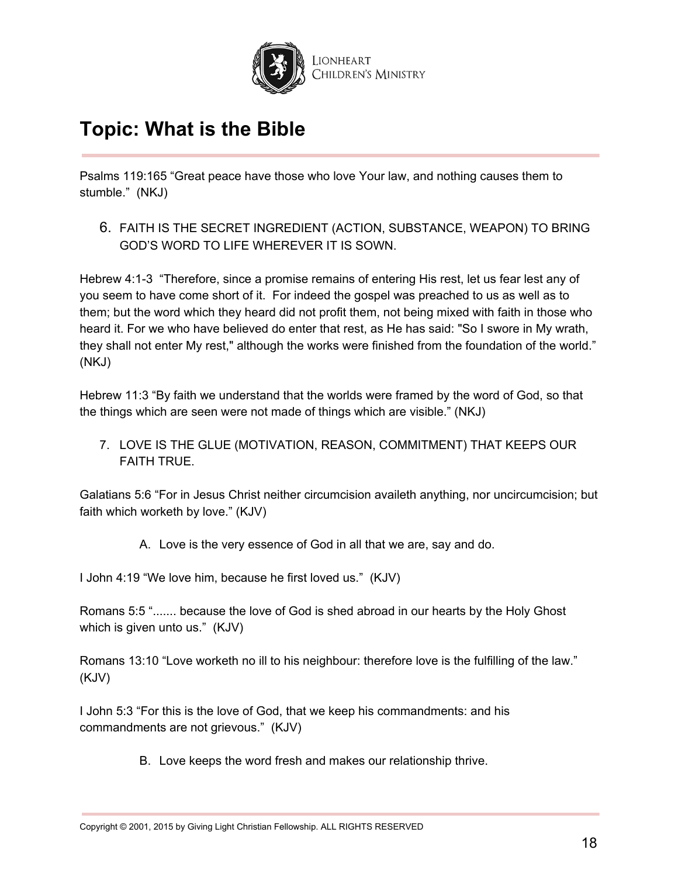

Psalms 119:165 "Great peace have those who love Your law, and nothing causes them to stumble." (NKJ)

6. FAITH IS THE SECRET INGREDIENT (ACTION, SUBSTANCE, WEAPON) TO BRING GOD'S WORD TO LIFE WHEREVER IT IS SOWN.

Hebrew 4:1-3 "Therefore, since a promise remains of entering His rest, let us fear lest any of you seem to have come short of it. For indeed the gospel was preached to us as well as to them; but the word which they heard did not profit them, not being mixed with faith in those who heard it. For we who have believed do enter that rest, as He has said: "So I swore in My wrath, they shall not enter My rest," although the works were finished from the foundation of the world." (NKJ)

Hebrew 11:3 "By faith we understand that the worlds were framed by the word of God, so that the things which are seen were not made of things which are visible." (NKJ)

7. LOVE IS THE GLUE (MOTIVATION, REASON, COMMITMENT) THAT KEEPS OUR FAITH TRUE.

Galatians 5:6 "For in Jesus Christ neither circumcision availeth anything, nor uncircumcision; but faith which worketh by love." (KJV)

A. Love is the very essence of God in all that we are, say and do.

I John 4:19 "We love him, because he first loved us." (KJV)

Romans 5:5 "....... because the love of God is shed abroad in our hearts by the Holy Ghost which is given unto us." (KJV)

Romans 13:10 "Love worketh no ill to his neighbour: therefore love is the fulfilling of the law." (KJV)

I John 5:3 "For this is the love of God, that we keep his commandments: and his commandments are not grievous." (KJV)

B. Love keeps the word fresh and makes our relationship thrive.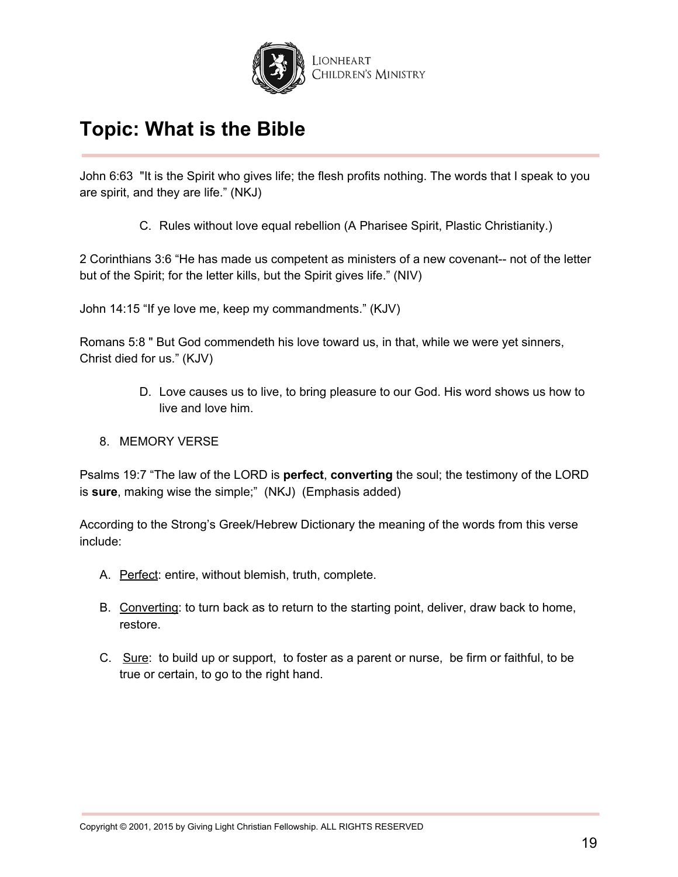

John 6:63 "It is the Spirit who gives life; the flesh profits nothing. The words that I speak to you are spirit, and they are life." (NKJ)

C. Rules without love equal rebellion (A Pharisee Spirit, Plastic Christianity.)

2 Corinthians 3:6 "He has made us competent as ministers of a new covenant-- not of the letter but of the Spirit; for the letter kills, but the Spirit gives life." (NIV)

John 14:15 "If ye love me, keep my commandments." (KJV)

Romans 5:8 " But God commendeth his love toward us, in that, while we were yet sinners, Christ died for us." (KJV)

- D. Love causes us to live, to bring pleasure to our God. His word shows us how to live and love him.
- 8. MEMORY VERSE

Psalms 19:7 "The law of the LORD is **perfect**, **converting** the soul; the testimony of the LORD is **sure**, making wise the simple;" (NKJ) (Emphasis added)

According to the Strong's Greek/Hebrew Dictionary the meaning of the words from this verse include:

- A. Perfect: entire, without blemish, truth, complete.
- B. Converting: to turn back as to return to the starting point, deliver, draw back to home, restore.
- C. Sure: to build up or support, to foster as a parent or nurse, be firm or faithful, to be true or certain, to go to the right hand.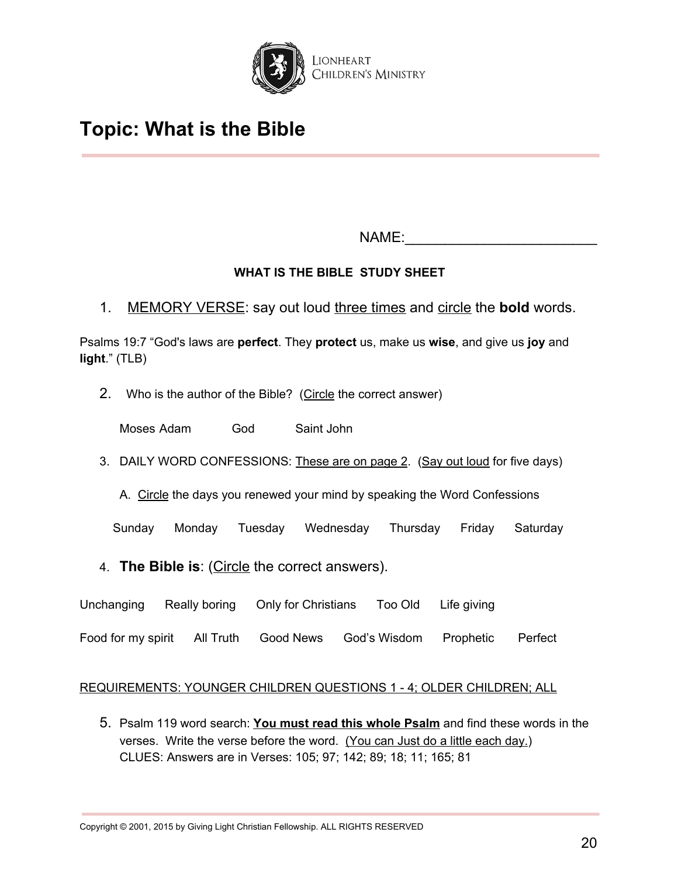

NAME:\_\_\_\_\_\_\_\_\_\_\_\_\_\_\_\_\_\_\_\_\_\_\_\_

## **WHAT IS THE BIBLE STUDY SHEET**

1. MEMORY VERSE: say out loud three times and circle the **bold** words.

Psalms 19:7 "God's laws are **perfect**. They **protect** us, make us **wise**, and give us **joy** and **light**." (TLB)

2. Who is the author of the Bible? (Circle the correct answer)

Moses Adam God Saint John

3. DAILY WORD CONFESSIONS: These are on page 2. (Say out loud for five days)

A. Circle the days you renewed your mind by speaking the Word Confessions

Sunday Monday Tuesday Wednesday Thursday Friday Saturday

- 4. **The Bible is**: (Circle the correct answers).
- Unchanging Really boring Only for Christians Too Old Life giving
- Food for my spirit All Truth Good News God's Wisdom Prophetic Perfect

## REQUIREMENTS: YOUNGER CHILDREN QUESTIONS 1 - 4; OLDER CHILDREN; ALL

5. Psalm 119 word search: **You must read this whole Psalm** and find these words in the verses. Write the verse before the word. (You can Just do a little each day.) CLUES: Answers are in Verses: 105; 97; 142; 89; 18; 11; 165; 81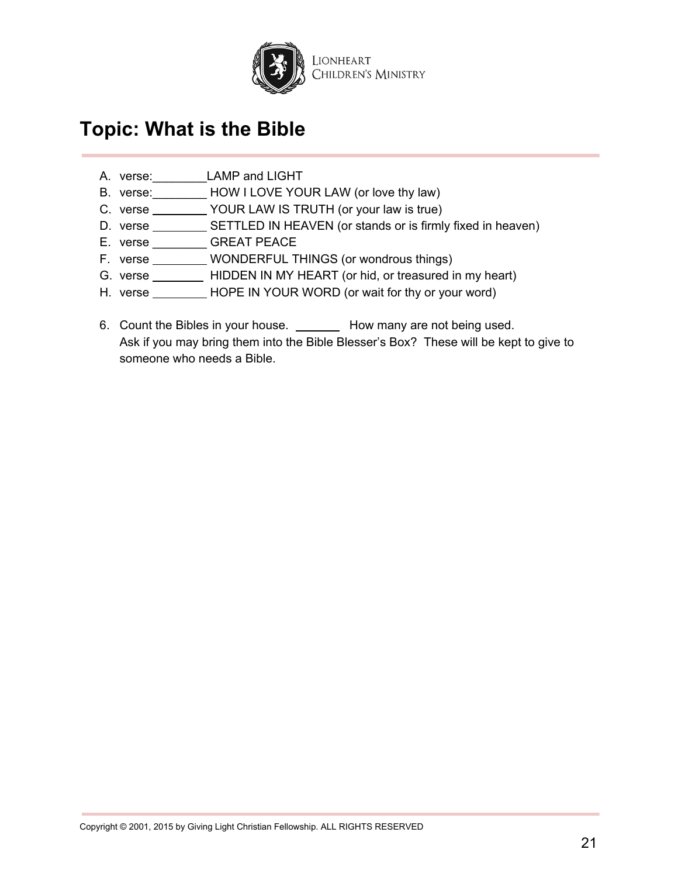

- A. verse: LAMP and LIGHT
- B. verse:\_\_\_\_\_\_\_\_ HOW I LOVE YOUR LAW (or love thy law)
- C. verse \_\_\_\_\_\_\_\_\_\_ YOUR LAW IS TRUTH (or your law is true)
- D. verse \_\_\_\_\_\_\_\_\_\_\_ SETTLED IN HEAVEN (or stands or is firmly fixed in heaven)
- E. verse \_\_\_\_\_\_\_\_ GREAT PEACE
- F. verse \_\_\_\_\_\_\_\_ WONDERFUL THINGS (or wondrous things)
- G. verse \_\_\_\_\_\_\_\_\_\_ HIDDEN IN MY HEART (or hid, or treasured in my heart)
- H. verse HOPE IN YOUR WORD (or wait for thy or your word)
- 6. Count the Bibles in your house. \_\_\_\_\_\_\_\_ How many are not being used. Ask if you may bring them into the Bible Blesser's Box? These will be kept to give to someone who needs a Bible.